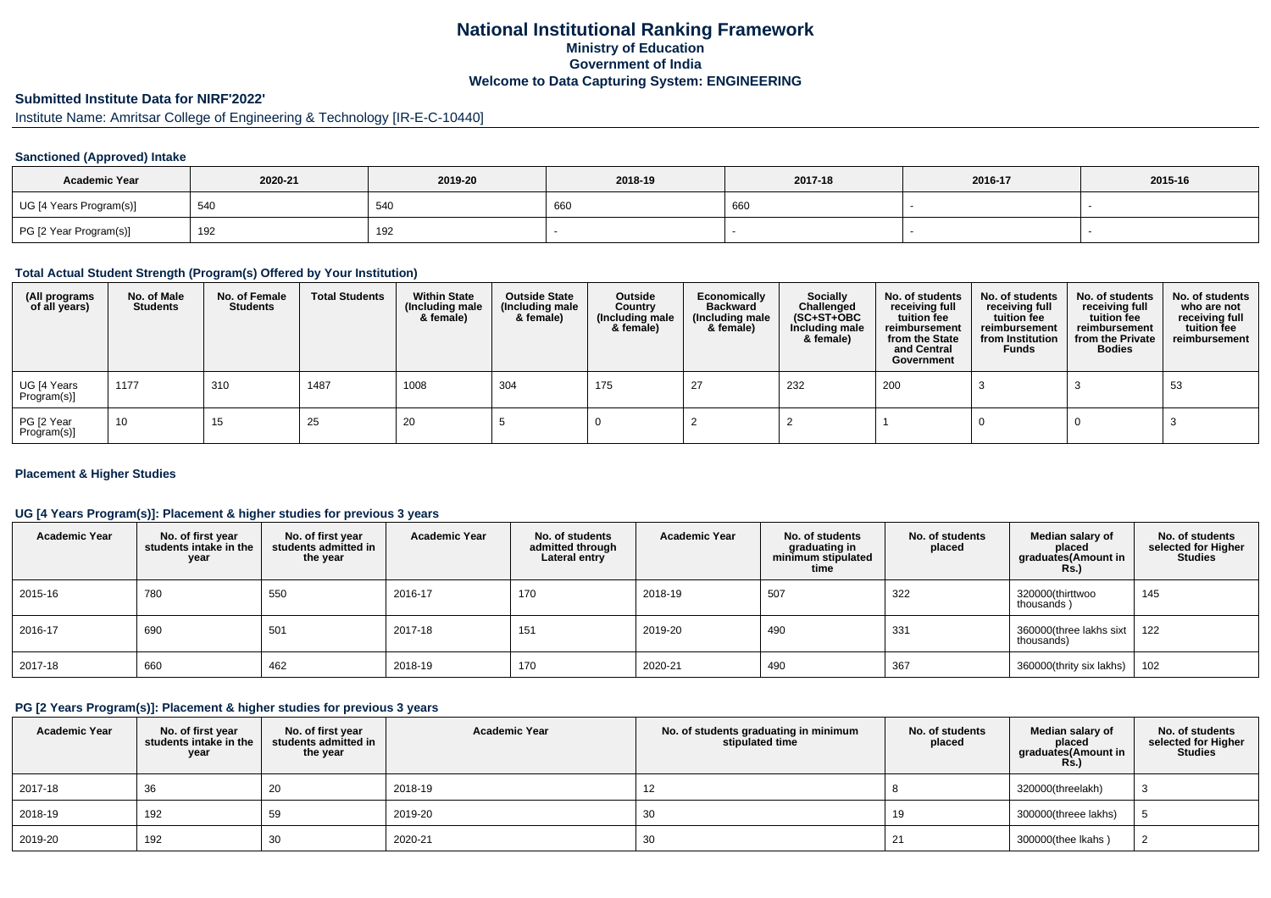## **National Institutional Ranking FrameworkMinistry of Education Government of IndiaWelcome to Data Capturing System: ENGINEERING**

## **Submitted Institute Data for NIRF'2022'**

# Institute Name: Amritsar College of Engineering & Technology [IR-E-C-10440]

### **Sanctioned (Approved) Intake**

| <b>Academic Year</b>    | 2020-21 | 2019-20 | 2018-19 | 2017-18 | 2016-17 | 2015-16 |
|-------------------------|---------|---------|---------|---------|---------|---------|
| UG [4 Years Program(s)] | 540     | 54C     | 660     | 660     |         |         |
| PG [2 Year Program(s)]  | 192     | 192     |         |         |         |         |

#### **Total Actual Student Strength (Program(s) Offered by Your Institution)**

| (All programs<br>of all years) | No. of Male<br><b>Students</b> | No. of Female<br><b>Students</b> | <b>Total Students</b> | <b>Within State</b><br>(Including male<br>& female) | <b>Outside State</b><br>(Including male<br>& female) | Outside<br>Country<br>(Including male<br>& female) | Economically<br><b>Backward</b><br>(Including male<br>& female) | <b>Socially</b><br>Challenged<br>$(SC+ST+OBC)$<br>Including male<br>& female) | No. of students<br>receiving full<br>tuition fee<br>reimbursement<br>from the State<br>and Central<br>Government | No. of students<br>receiving full<br>tuition fee<br>reimbursement<br>from Institution<br><b>Funds</b> | No. of students<br>receiving full<br>tuition fee<br>reimbursement<br>from the Private<br><b>Bodies</b> | No. of students<br>who are not<br>receiving full<br>tuition fee<br>reimbursement |
|--------------------------------|--------------------------------|----------------------------------|-----------------------|-----------------------------------------------------|------------------------------------------------------|----------------------------------------------------|-----------------------------------------------------------------|-------------------------------------------------------------------------------|------------------------------------------------------------------------------------------------------------------|-------------------------------------------------------------------------------------------------------|--------------------------------------------------------------------------------------------------------|----------------------------------------------------------------------------------|
| UG [4 Years<br>Program(s)]     | 1177                           | 310                              | 1487                  | 1008                                                | 304                                                  | 175                                                |                                                                 | 232                                                                           | 200                                                                                                              |                                                                                                       |                                                                                                        | 53                                                                               |
| PG [2 Year<br>Program(s)]      | 10                             | 15                               | 25                    | -20                                                 |                                                      |                                                    |                                                                 |                                                                               |                                                                                                                  |                                                                                                       |                                                                                                        |                                                                                  |

#### **Placement & Higher Studies**

### **UG [4 Years Program(s)]: Placement & higher studies for previous 3 years**

| <b>Academic Year</b> | No. of first year<br>students intake in the<br>year | No. of first year<br>students admitted in<br>the year | <b>Academic Year</b> | No. of students<br>admitted through<br>Lateral entry | <b>Academic Year</b> | No. of students<br>graduating in<br>minimum stipulated<br>time | No. of students<br>placed | Median salary of<br>placed<br>graduates(Amount in<br><b>Rs.)</b> | No. of students<br>selected for Higher<br><b>Studies</b> |
|----------------------|-----------------------------------------------------|-------------------------------------------------------|----------------------|------------------------------------------------------|----------------------|----------------------------------------------------------------|---------------------------|------------------------------------------------------------------|----------------------------------------------------------|
| 2015-16              | 780                                                 | 550                                                   | 2016-17              | 170                                                  | 2018-19              | 507                                                            | 322                       | 320000(thirttwoo<br>thousands)                                   | 145                                                      |
| 2016-17              | 690                                                 | 501                                                   | 2017-18              | 151                                                  | 2019-20              | 490                                                            | 331                       | 360000(three lakhs sixt<br>thousands)                            | 122                                                      |
| 2017-18              | 660                                                 | 462                                                   | 2018-19              | 170                                                  | 2020-21              | 490                                                            | 367                       | 360000(thrity six lakhs)                                         | 102                                                      |

#### **PG [2 Years Program(s)]: Placement & higher studies for previous 3 years**

| <b>Academic Year</b> | No. of first year<br>students intake in the<br>year | No. of first vear<br>students admitted in<br>the year | <b>Academic Year</b> | No. of students graduating in minimum<br>stipulated time | No. of students<br>placed | Median salary of<br>placed<br>graduates(Amount in<br><b>Rs.)</b> | No. of students<br>selected for Higher<br><b>Studies</b> |
|----------------------|-----------------------------------------------------|-------------------------------------------------------|----------------------|----------------------------------------------------------|---------------------------|------------------------------------------------------------------|----------------------------------------------------------|
| 2017-18              | 36                                                  | 20                                                    | 2018-19              |                                                          |                           | 320000(threelakh)                                                |                                                          |
| 2018-19              | 192                                                 | 59                                                    | 2019-20              | 30                                                       | 19                        | 300000(threee lakhs)                                             |                                                          |
| 2019-20              | 192                                                 | 30                                                    | 2020-21              | 30                                                       |                           | 300000(thee Ikahs)                                               |                                                          |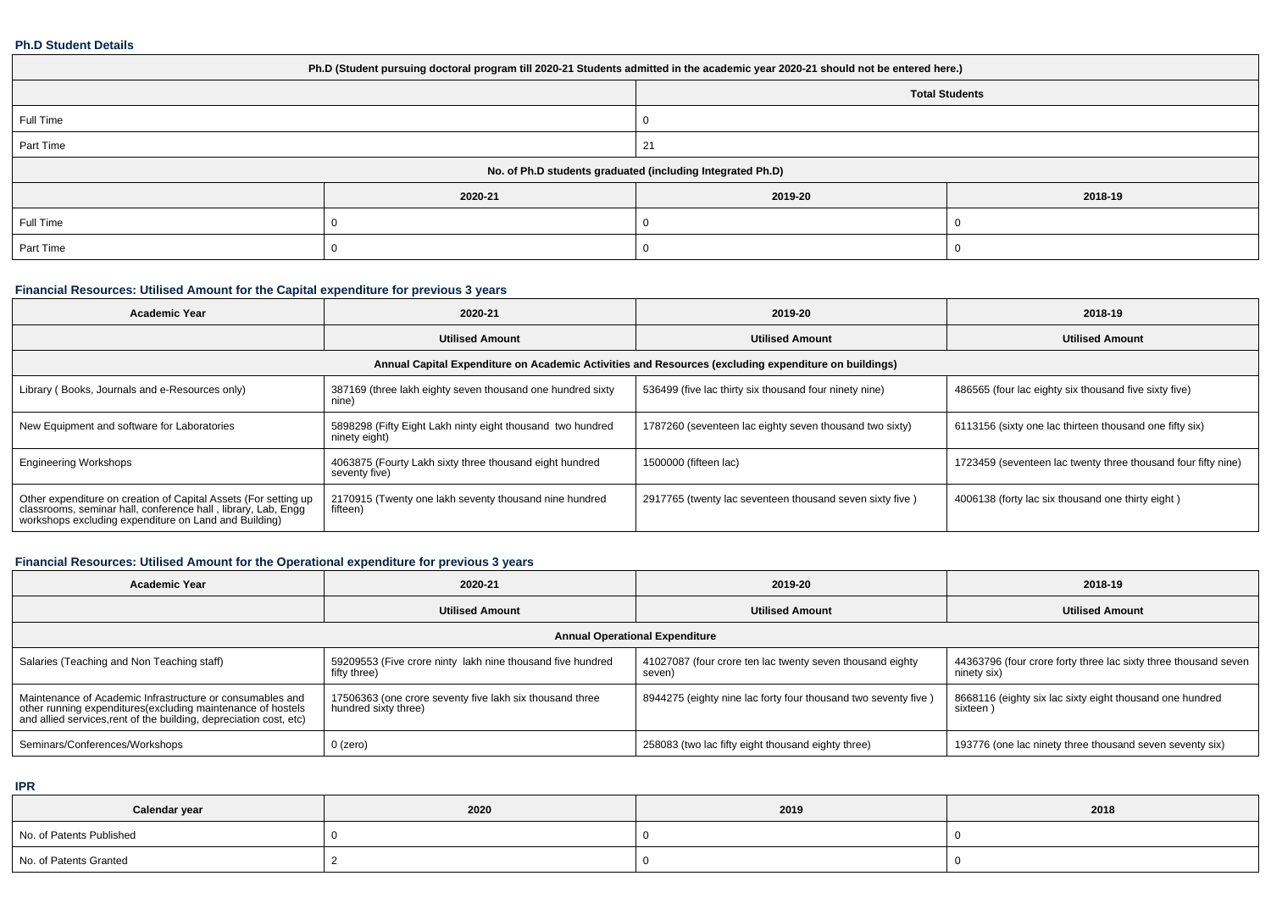#### **Ph.D Student Details**

| Ph.D (Student pursuing doctoral program till 2020-21 Students admitted in the academic year 2020-21 should not be entered here.) |         |         |         |  |  |  |
|----------------------------------------------------------------------------------------------------------------------------------|---------|---------|---------|--|--|--|
| <b>Total Students</b>                                                                                                            |         |         |         |  |  |  |
| Full Time                                                                                                                        |         |         |         |  |  |  |
| Part Time                                                                                                                        |         | 21      |         |  |  |  |
| No. of Ph.D students graduated (including Integrated Ph.D)                                                                       |         |         |         |  |  |  |
|                                                                                                                                  | 2020-21 | 2019-20 | 2018-19 |  |  |  |
| Full Time                                                                                                                        |         |         |         |  |  |  |
| Part Time                                                                                                                        |         |         |         |  |  |  |

### **Financial Resources: Utilised Amount for the Capital expenditure for previous 3 years**

| <b>Academic Year</b>                                                                                                                                                                      | 2020-21                                                                                              | 2019-20                                                  | 2018-19                                                       |  |  |  |  |  |  |
|-------------------------------------------------------------------------------------------------------------------------------------------------------------------------------------------|------------------------------------------------------------------------------------------------------|----------------------------------------------------------|---------------------------------------------------------------|--|--|--|--|--|--|
|                                                                                                                                                                                           | <b>Utilised Amount</b>                                                                               | <b>Utilised Amount</b>                                   | <b>Utilised Amount</b>                                        |  |  |  |  |  |  |
|                                                                                                                                                                                           | Annual Capital Expenditure on Academic Activities and Resources (excluding expenditure on buildings) |                                                          |                                                               |  |  |  |  |  |  |
| Library (Books, Journals and e-Resources only)                                                                                                                                            | 387169 (three lakh eighty seven thousand one hundred sixty<br>nine)                                  | 536499 (five lac thirty six thousand four ninety nine)   | 486565 (four lac eighty six thousand five sixty five)         |  |  |  |  |  |  |
| New Equipment and software for Laboratories                                                                                                                                               | 5898298 (Fifty Eight Lakh ninty eight thousand two hundred<br>ninety eight)                          | 1787260 (seventeen lac eighty seven thousand two sixty)  | 6113156 (sixty one lac thirteen thousand one fifty six)       |  |  |  |  |  |  |
| <b>Engineering Workshops</b>                                                                                                                                                              | 4063875 (Fourty Lakh sixty three thousand eight hundred<br>seventy five)                             | 1500000 (fifteen lac)                                    | 1723459 (seventeen lac twenty three thousand four fifty nine) |  |  |  |  |  |  |
| Other expenditure on creation of Capital Assets (For setting up<br>classrooms, seminar hall, conference hall, library, Lab, Engg<br>workshops excluding expenditure on Land and Building) | 2170915 (Twenty one lakh seventy thousand nine hundred<br>fifteen)                                   | 2917765 (twenty lac seventeen thousand seven sixty five) | 4006138 (forty lac six thousand one thirty eight)             |  |  |  |  |  |  |

### **Financial Resources: Utilised Amount for the Operational expenditure for previous 3 years**

| Academic Year                                                                                                                                                                                   | 2020-21                                                                          | 2019-20                                                             | 2018-19                                                                        |  |  |  |  |  |
|-------------------------------------------------------------------------------------------------------------------------------------------------------------------------------------------------|----------------------------------------------------------------------------------|---------------------------------------------------------------------|--------------------------------------------------------------------------------|--|--|--|--|--|
|                                                                                                                                                                                                 | <b>Utilised Amount</b>                                                           | <b>Utilised Amount</b>                                              | <b>Utilised Amount</b>                                                         |  |  |  |  |  |
| <b>Annual Operational Expenditure</b>                                                                                                                                                           |                                                                                  |                                                                     |                                                                                |  |  |  |  |  |
| Salaries (Teaching and Non Teaching staff)                                                                                                                                                      | 59209553 (Five crore ninty lakh nine thousand five hundred<br>fifty three)       | 41027087 (four crore ten lac twenty seven thousand eighty<br>seven) | 44363796 (four crore forty three lac sixty three thousand seven<br>ninety six) |  |  |  |  |  |
| Maintenance of Academic Infrastructure or consumables and<br>other running expenditures (excluding maintenance of hostels<br>and allied services, rent of the building, depreciation cost, etc) | 17506363 (one crore seventy five lakh six thousand three<br>hundred sixty three) | 8944275 (eighty nine lac forty four thousand two seventy five)      | 8668116 (eighty six lac sixty eight thousand one hundred<br>sixteen)           |  |  |  |  |  |
| Seminars/Conferences/Workshops                                                                                                                                                                  | $0$ (zero)                                                                       | 258083 (two lac fifty eight thousand eighty three)                  | 193776 (one lac ninety three thousand seven seventy six)                       |  |  |  |  |  |

**IPR**

| Calendar year            | 2020 | 2019 | 2018 |
|--------------------------|------|------|------|
| No. of Patents Published |      |      |      |
| No. of Patents Granted   |      |      |      |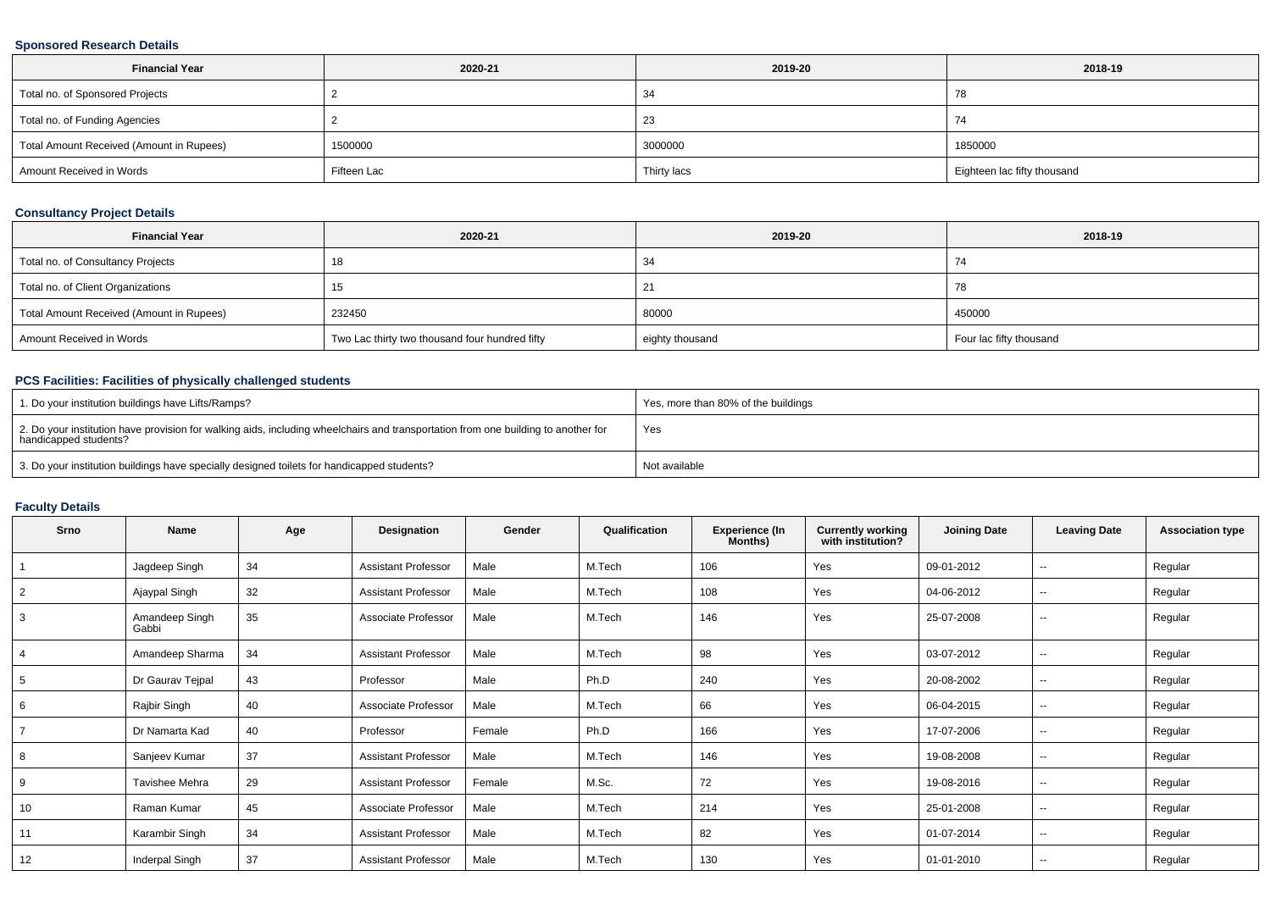### **Sponsored Research Details**

| <b>Financial Year</b>                    | 2020-21     | 2019-20     | 2018-19                     |
|------------------------------------------|-------------|-------------|-----------------------------|
| Total no. of Sponsored Projects          |             | -34         | 78                          |
| Total no. of Funding Agencies            |             | د∠          | 74                          |
| Total Amount Received (Amount in Rupees) | 1500000     | 3000000     | 1850000                     |
| Amount Received in Words                 | Fifteen Lac | Thirty lacs | Eighteen lac fifty thousand |

### **Consultancy Project Details**

| <b>Financial Year</b>                    | 2020-21                                        | 2019-20         | 2018-19                 |
|------------------------------------------|------------------------------------------------|-----------------|-------------------------|
| Total no. of Consultancy Projects        | 18                                             | -34             | 74                      |
| Total no. of Client Organizations        |                                                |                 | 78                      |
| Total Amount Received (Amount in Rupees) | 232450                                         | 80000           | 450000                  |
| Amount Received in Words                 | Two Lac thirty two thousand four hundred fifty | eighty thousand | Four lac fifty thousand |

### **PCS Facilities: Facilities of physically challenged students**

| 1. Do your institution buildings have Lifts/Ramps?                                                                                                         | Yes, more than 80% of the buildings |
|------------------------------------------------------------------------------------------------------------------------------------------------------------|-------------------------------------|
| 2. Do your institution have provision for walking aids, including wheelchairs and transportation from one building to another for<br>handicapped students? | Yes                                 |
| 3. Do your institution buildings have specially designed toilets for handicapped students?                                                                 | Not available                       |

### **Faculty Details**

| Srno           | Name                    | Age | Designation                | Gender | Qualification | <b>Experience (In</b><br>Months) | <b>Currently working</b><br>with institution? | <b>Joining Date</b> | <b>Leaving Date</b>      | <b>Association type</b> |
|----------------|-------------------------|-----|----------------------------|--------|---------------|----------------------------------|-----------------------------------------------|---------------------|--------------------------|-------------------------|
|                | Jagdeep Singh           | 34  | <b>Assistant Professor</b> | Male   | M.Tech        | 106                              | Yes                                           | 09-01-2012          | --                       | Regular                 |
| $\overline{2}$ | Ajaypal Singh           | 32  | <b>Assistant Professor</b> | Male   | M.Tech        | 108                              | Yes                                           | 04-06-2012          | $\sim$                   | Regular                 |
| 3              | Amandeep Singh<br>Gabbi | 35  | Associate Professor        | Male   | M.Tech        | 146                              | Yes                                           | 25-07-2008          | $\sim$                   | Regular                 |
| $\overline{4}$ | Amandeep Sharma         | 34  | <b>Assistant Professor</b> | Male   | M.Tech        | 98                               | Yes                                           | 03-07-2012          | $\overline{\phantom{a}}$ | Regular                 |
| 5              | Dr Gaurav Tejpal        | 43  | Professor                  | Male   | Ph.D          | 240                              | Yes                                           | 20-08-2002          | $\sim$                   | Regular                 |
| 6              | Rajbir Singh            | 40  | Associate Professor        | Male   | M.Tech        | 66                               | Yes                                           | 06-04-2015          | $\sim$                   | Regular                 |
|                | Dr Namarta Kad          | 40  | Professor                  | Female | Ph.D          | 166                              | Yes                                           | 17-07-2006          | $\sim$                   | Regular                 |
| 8              | Sanjeev Kumar           | 37  | <b>Assistant Professor</b> | Male   | M.Tech        | 146                              | Yes                                           | 19-08-2008          | $\sim$                   | Regular                 |
| 9              | Tavishee Mehra          | 29  | <b>Assistant Professor</b> | Female | M.Sc.         | 72                               | Yes                                           | 19-08-2016          | $\sim$                   | Regular                 |
| 10             | Raman Kumar             | 45  | Associate Professor        | Male   | M.Tech        | 214                              | Yes                                           | 25-01-2008          | $\overline{\phantom{a}}$ | Regular                 |
| 11             | Karambir Singh          | 34  | <b>Assistant Professor</b> | Male   | M.Tech        | 82                               | Yes                                           | 01-07-2014          | $\sim$                   | Regular                 |
| 12             | Inderpal Singh          | 37  | <b>Assistant Professor</b> | Male   | M.Tech        | 130                              | Yes                                           | 01-01-2010          | $\sim$                   | Regular                 |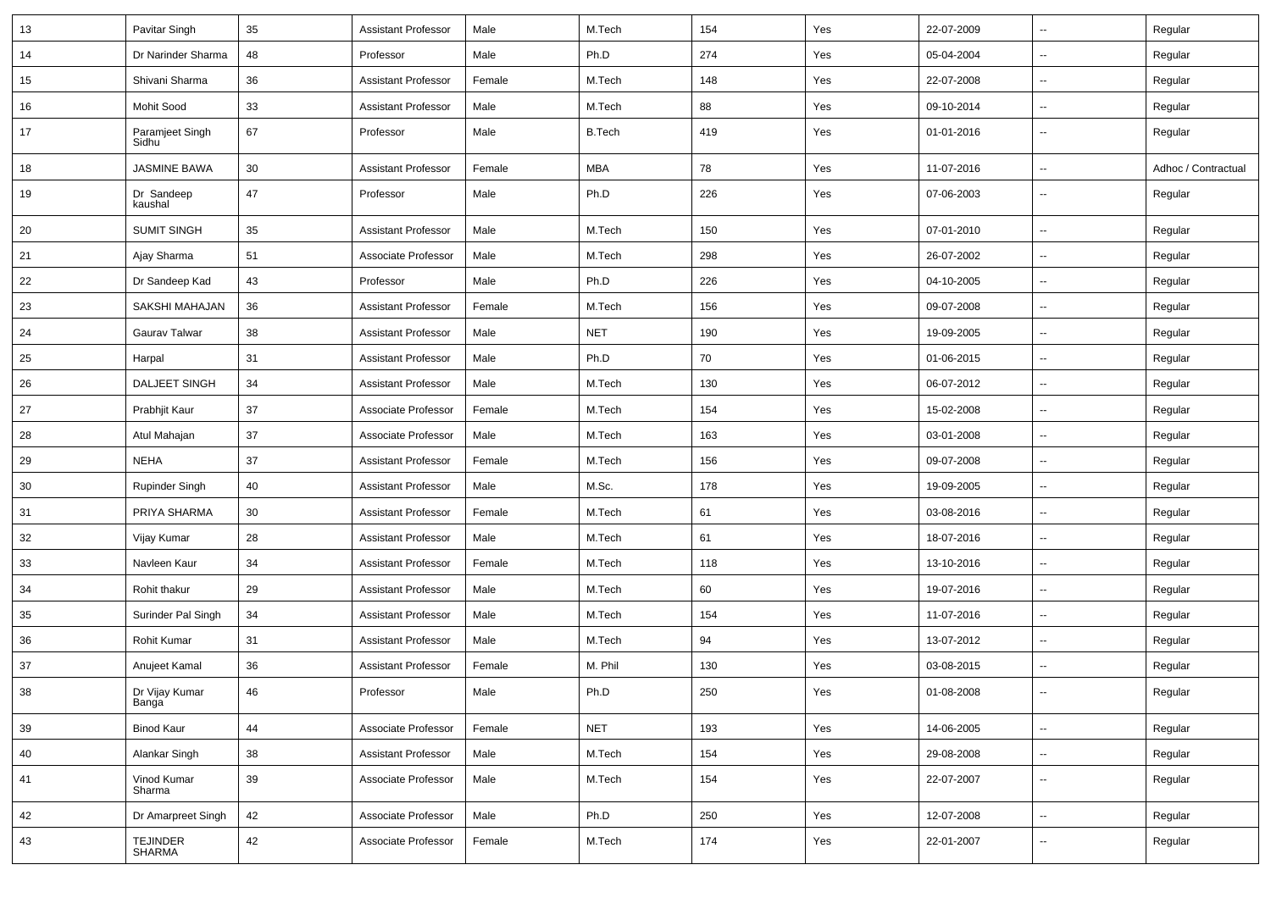| 13 | Pavitar Singh            | 35 | <b>Assistant Professor</b> | Male   | M.Tech        | 154 | Yes | 22-07-2009 | $\overline{\phantom{a}}$ | Regular             |
|----|--------------------------|----|----------------------------|--------|---------------|-----|-----|------------|--------------------------|---------------------|
| 14 | Dr Narinder Sharma       | 48 | Professor                  | Male   | Ph.D          | 274 | Yes | 05-04-2004 | $\overline{\phantom{a}}$ | Regular             |
| 15 | Shivani Sharma           | 36 | <b>Assistant Professor</b> | Female | M.Tech        | 148 | Yes | 22-07-2008 | $\overline{\phantom{a}}$ | Regular             |
| 16 | Mohit Sood               | 33 | <b>Assistant Professor</b> | Male   | M.Tech        | 88  | Yes | 09-10-2014 | $\overline{\phantom{a}}$ | Regular             |
| 17 | Paramjeet Singh<br>Sidhu | 67 | Professor                  | Male   | <b>B.Tech</b> | 419 | Yes | 01-01-2016 | $\overline{\phantom{a}}$ | Regular             |
| 18 | <b>JASMINE BAWA</b>      | 30 | <b>Assistant Professor</b> | Female | <b>MBA</b>    | 78  | Yes | 11-07-2016 | $\overline{\phantom{a}}$ | Adhoc / Contractual |
| 19 | Dr Sandeep<br>kaushal    | 47 | Professor                  | Male   | Ph.D          | 226 | Yes | 07-06-2003 | ÷.                       | Regular             |
| 20 | <b>SUMIT SINGH</b>       | 35 | <b>Assistant Professor</b> | Male   | M.Tech        | 150 | Yes | 07-01-2010 | $\overline{\phantom{a}}$ | Regular             |
| 21 | Ajay Sharma              | 51 | Associate Professor        | Male   | M.Tech        | 298 | Yes | 26-07-2002 | $\overline{\phantom{a}}$ | Regular             |
| 22 | Dr Sandeep Kad           | 43 | Professor                  | Male   | Ph.D          | 226 | Yes | 04-10-2005 | $\overline{\phantom{a}}$ | Regular             |
| 23 | SAKSHI MAHAJAN           | 36 | <b>Assistant Professor</b> | Female | M.Tech        | 156 | Yes | 09-07-2008 | ÷.                       | Regular             |
| 24 | Gaurav Talwar            | 38 | <b>Assistant Professor</b> | Male   | <b>NET</b>    | 190 | Yes | 19-09-2005 | $\overline{\phantom{a}}$ | Regular             |
| 25 | Harpal                   | 31 | <b>Assistant Professor</b> | Male   | Ph.D          | 70  | Yes | 01-06-2015 | $\overline{\phantom{a}}$ | Regular             |
| 26 | <b>DALJEET SINGH</b>     | 34 | <b>Assistant Professor</b> | Male   | M.Tech        | 130 | Yes | 06-07-2012 | $\overline{\phantom{a}}$ | Regular             |
| 27 | Prabhjit Kaur            | 37 | Associate Professor        | Female | M.Tech        | 154 | Yes | 15-02-2008 | ⊶.                       | Regular             |
| 28 | Atul Mahajan             | 37 | Associate Professor        | Male   | M.Tech        | 163 | Yes | 03-01-2008 | $\overline{\phantom{a}}$ | Regular             |
| 29 | <b>NEHA</b>              | 37 | <b>Assistant Professor</b> | Female | M.Tech        | 156 | Yes | 09-07-2008 | ÷.                       | Regular             |
| 30 | Rupinder Singh           | 40 | <b>Assistant Professor</b> | Male   | M.Sc.         | 178 | Yes | 19-09-2005 | $\overline{\phantom{a}}$ | Regular             |
| 31 | PRIYA SHARMA             | 30 | <b>Assistant Professor</b> | Female | M.Tech        | 61  | Yes | 03-08-2016 | $\overline{\phantom{a}}$ | Regular             |
| 32 | Vijay Kumar              | 28 | <b>Assistant Professor</b> | Male   | M.Tech        | 61  | Yes | 18-07-2016 | $\overline{\phantom{a}}$ | Regular             |
| 33 | Navleen Kaur             | 34 | <b>Assistant Professor</b> | Female | M.Tech        | 118 | Yes | 13-10-2016 | $\overline{\phantom{a}}$ | Regular             |
| 34 | Rohit thakur             | 29 | <b>Assistant Professor</b> | Male   | M.Tech        | 60  | Yes | 19-07-2016 | $\overline{\phantom{a}}$ | Regular             |
| 35 | Surinder Pal Singh       | 34 | <b>Assistant Professor</b> | Male   | M.Tech        | 154 | Yes | 11-07-2016 | ÷.                       | Regular             |
| 36 | Rohit Kumar              | 31 | <b>Assistant Professor</b> | Male   | M.Tech        | 94  | Yes | 13-07-2012 | $\overline{\phantom{a}}$ | Regular             |
| 37 | Anujeet Kamal            | 36 | <b>Assistant Professor</b> | Female | M. Phil       | 130 | Yes | 03-08-2015 | $\overline{\phantom{a}}$ | Regular             |
| 38 | Dr Vijay Kumar<br>Banga  | 46 | Professor                  | Male   | Ph.D          | 250 | Yes | 01-08-2008 |                          | Regular             |
| 39 | <b>Binod Kaur</b>        | 44 | Associate Professor        | Female | <b>NET</b>    | 193 | Yes | 14-06-2005 | $\mathbb{Z}^2$           | Regular             |
| 40 | Alankar Singh            | 38 | <b>Assistant Professor</b> | Male   | M.Tech        | 154 | Yes | 29-08-2008 | щ.                       | Regular             |
| 41 | Vinod Kumar<br>Sharma    | 39 | Associate Professor        | Male   | M.Tech        | 154 | Yes | 22-07-2007 | щ.                       | Regular             |
| 42 | Dr Amarpreet Singh       | 42 | Associate Professor        | Male   | Ph.D          | 250 | Yes | 12-07-2008 | щ.                       | Regular             |
| 43 | TEJINDER<br>SHARMA       | 42 | Associate Professor        | Female | M.Tech        | 174 | Yes | 22-01-2007 | щ.                       | Regular             |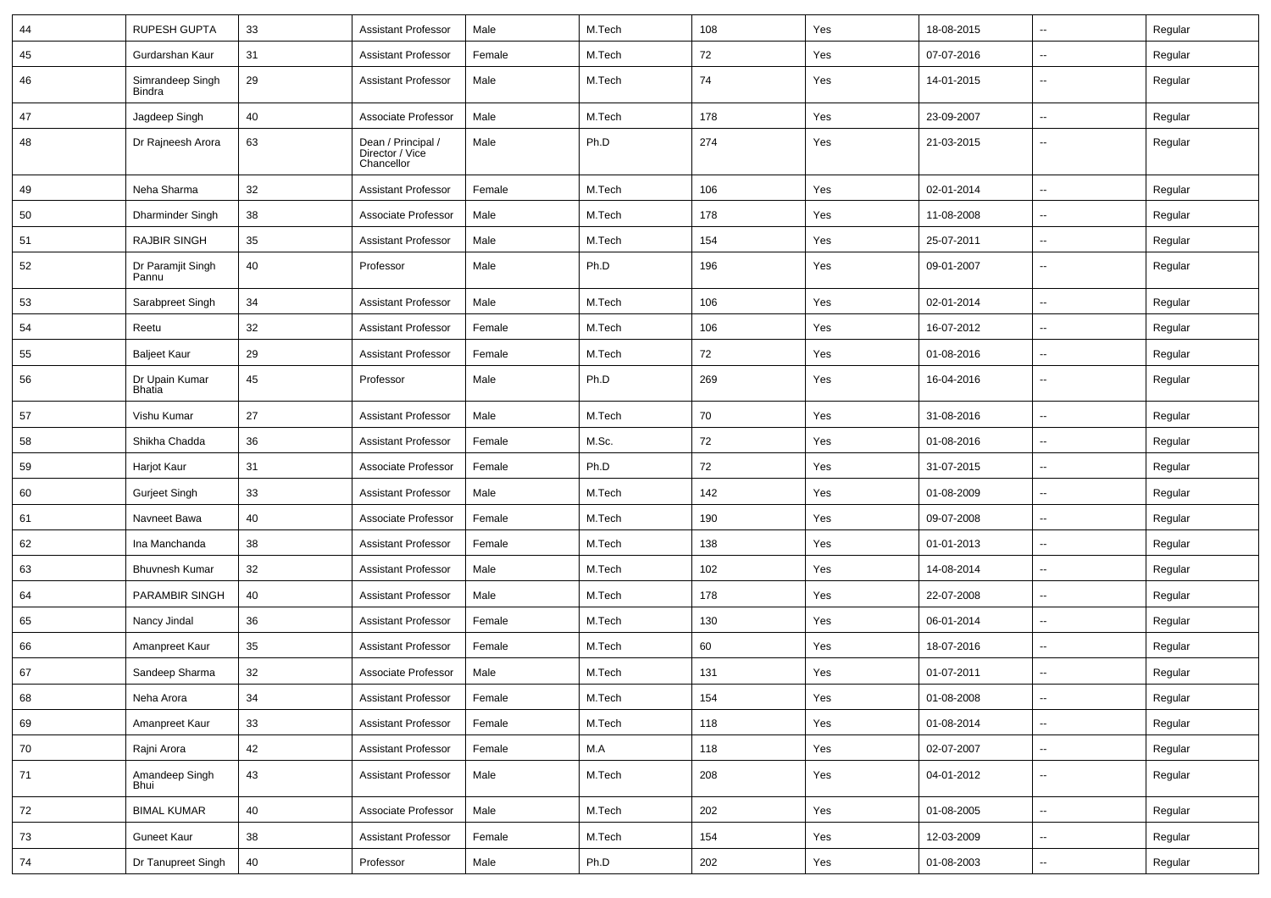| 44 | <b>RUPESH GUPTA</b>               | 33 | <b>Assistant Professor</b>                          | Male   | M.Tech | 108 | Yes | 18-08-2015 | $\sim$                   | Regular |
|----|-----------------------------------|----|-----------------------------------------------------|--------|--------|-----|-----|------------|--------------------------|---------|
| 45 | Gurdarshan Kaur                   | 31 | <b>Assistant Professor</b>                          | Female | M.Tech | 72  | Yes | 07-07-2016 | Ξ.                       | Regular |
| 46 | Simrandeep Singh<br><b>Bindra</b> | 29 | <b>Assistant Professor</b>                          | Male   | M.Tech | 74  | Yes | 14-01-2015 | $\sim$                   | Regular |
| 47 | Jagdeep Singh                     | 40 | Associate Professor                                 | Male   | M.Tech | 178 | Yes | 23-09-2007 | Ξ.                       | Regular |
| 48 | Dr Rajneesh Arora                 | 63 | Dean / Principal /<br>Director / Vice<br>Chancellor | Male   | Ph.D   | 274 | Yes | 21-03-2015 | --                       | Regular |
| 49 | Neha Sharma                       | 32 | <b>Assistant Professor</b>                          | Female | M.Tech | 106 | Yes | 02-01-2014 | $\overline{\phantom{a}}$ | Regular |
| 50 | Dharminder Singh                  | 38 | Associate Professor                                 | Male   | M.Tech | 178 | Yes | 11-08-2008 | $\overline{a}$           | Regular |
| 51 | <b>RAJBIR SINGH</b>               | 35 | <b>Assistant Professor</b>                          | Male   | M.Tech | 154 | Yes | 25-07-2011 | Ξ.                       | Regular |
| 52 | Dr Paramjit Singh<br>Pannu        | 40 | Professor                                           | Male   | Ph.D   | 196 | Yes | 09-01-2007 | $\sim$                   | Regular |
| 53 | Sarabpreet Singh                  | 34 | <b>Assistant Professor</b>                          | Male   | M.Tech | 106 | Yes | 02-01-2014 | $\sim$                   | Regular |
| 54 | Reetu                             | 32 | <b>Assistant Professor</b>                          | Female | M.Tech | 106 | Yes | 16-07-2012 | Ξ.                       | Regular |
| 55 | <b>Baljeet Kaur</b>               | 29 | <b>Assistant Professor</b>                          | Female | M.Tech | 72  | Yes | 01-08-2016 | --                       | Regular |
| 56 | Dr Upain Kumar<br><b>Bhatia</b>   | 45 | Professor                                           | Male   | Ph.D   | 269 | Yes | 16-04-2016 | Ξ.                       | Regular |
| 57 | Vishu Kumar                       | 27 | <b>Assistant Professor</b>                          | Male   | M.Tech | 70  | Yes | 31-08-2016 | $\sim$                   | Regular |
| 58 | Shikha Chadda                     | 36 | <b>Assistant Professor</b>                          | Female | M.Sc.  | 72  | Yes | 01-08-2016 | --                       | Regular |
| 59 | Harjot Kaur                       | 31 | Associate Professor                                 | Female | Ph.D   | 72  | Yes | 31-07-2015 | $\overline{\phantom{a}}$ | Regular |
| 60 | <b>Gurjeet Singh</b>              | 33 | <b>Assistant Professor</b>                          | Male   | M.Tech | 142 | Yes | 01-08-2009 | $\sim$                   | Regular |
| 61 | Navneet Bawa                      | 40 | Associate Professor                                 | Female | M.Tech | 190 | Yes | 09-07-2008 | $\overline{a}$           | Regular |
| 62 | Ina Manchanda                     | 38 | <b>Assistant Professor</b>                          | Female | M.Tech | 138 | Yes | 01-01-2013 | Ξ.                       | Regular |
| 63 | <b>Bhuvnesh Kumar</b>             | 32 | <b>Assistant Professor</b>                          | Male   | M.Tech | 102 | Yes | 14-08-2014 | $\overline{a}$           | Regular |
| 64 | <b>PARAMBIR SINGH</b>             | 40 | <b>Assistant Professor</b>                          | Male   | M.Tech | 178 | Yes | 22-07-2008 | ۰.                       | Regular |
| 65 | Nancy Jindal                      | 36 | <b>Assistant Professor</b>                          | Female | M.Tech | 130 | Yes | 06-01-2014 | $\overline{\phantom{a}}$ | Regular |
| 66 | Amanpreet Kaur                    | 35 | <b>Assistant Professor</b>                          | Female | M.Tech | 60  | Yes | 18-07-2016 | $\sim$                   | Regular |
| 67 | Sandeep Sharma                    | 32 | Associate Professor                                 | Male   | M.Tech | 131 | Yes | 01-07-2011 | $\sim$                   | Regular |
| 68 | Neha Arora                        | 34 | <b>Assistant Professor</b>                          | Female | M.Tech | 154 | Yes | 01-08-2008 | $\overline{\phantom{a}}$ | Regular |
| 69 | Amanpreet Kaur                    | 33 | <b>Assistant Professor</b>                          | Female | M.Tech | 118 | Yes | 01-08-2014 | $\sim$                   | Regular |
| 70 | Rajni Arora                       | 42 | <b>Assistant Professor</b>                          | Female | M.A    | 118 | Yes | 02-07-2007 | $\overline{\phantom{a}}$ | Regular |
| 71 | Amandeep Singh<br>Bhui            | 43 | <b>Assistant Professor</b>                          | Male   | M.Tech | 208 | Yes | 04-01-2012 | $\sim$                   | Regular |
| 72 | <b>BIMAL KUMAR</b>                | 40 | Associate Professor                                 | Male   | M.Tech | 202 | Yes | 01-08-2005 | ш.                       | Regular |
| 73 | Guneet Kaur                       | 38 | <b>Assistant Professor</b>                          | Female | M.Tech | 154 | Yes | 12-03-2009 | $\overline{\phantom{a}}$ | Regular |
| 74 | Dr Tanupreet Singh                | 40 | Professor                                           | Male   | Ph.D   | 202 | Yes | 01-08-2003 | $\overline{\phantom{a}}$ | Regular |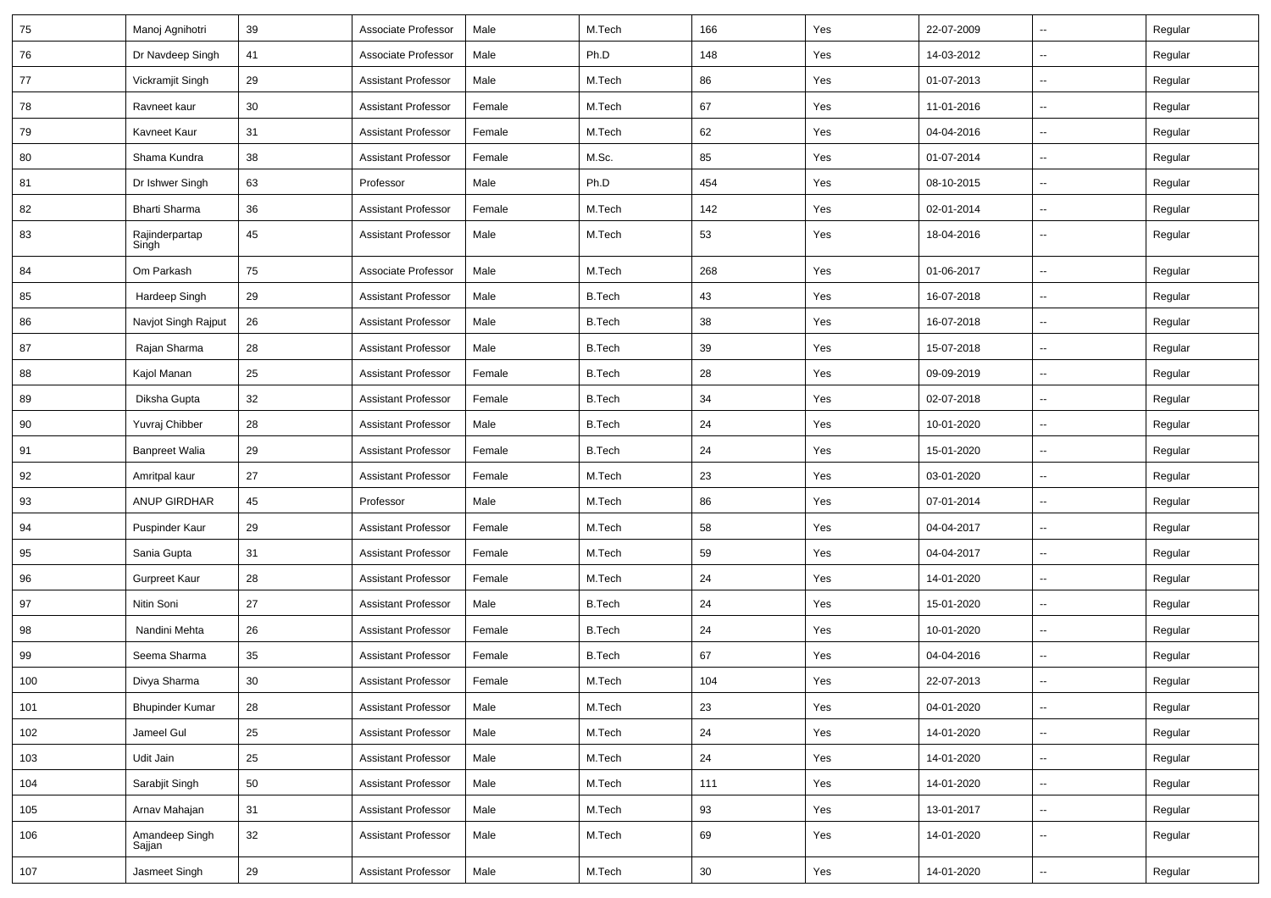| 75  | Manoj Agnihotri          | 39 | Associate Professor        | Male   | M.Tech        | 166    | Yes | 22-07-2009 | $\sim$                   | Regular |
|-----|--------------------------|----|----------------------------|--------|---------------|--------|-----|------------|--------------------------|---------|
| 76  | Dr Navdeep Singh         | 41 | Associate Professor        | Male   | Ph.D          | 148    | Yes | 14-03-2012 | $\sim$                   | Regular |
| 77  | Vickramjit Singh         | 29 | <b>Assistant Professor</b> | Male   | M.Tech        | 86     | Yes | 01-07-2013 | $\overline{\phantom{a}}$ | Regular |
| 78  | Ravneet kaur             | 30 | <b>Assistant Professor</b> | Female | M.Tech        | 67     | Yes | 11-01-2016 | --                       | Regular |
| 79  | Kavneet Kaur             | 31 | <b>Assistant Professor</b> | Female | M.Tech        | 62     | Yes | 04-04-2016 | $\sim$                   | Regular |
| 80  | Shama Kundra             | 38 | <b>Assistant Professor</b> | Female | M.Sc.         | 85     | Yes | 01-07-2014 | $\sim$                   | Regular |
| 81  | Dr Ishwer Singh          | 63 | Professor                  | Male   | Ph.D          | 454    | Yes | 08-10-2015 | $\sim$                   | Regular |
| 82  | Bharti Sharma            | 36 | <b>Assistant Professor</b> | Female | M.Tech        | 142    | Yes | 02-01-2014 | $\sim$                   | Regular |
| 83  | Rajinderpartap<br>Singh  | 45 | <b>Assistant Professor</b> | Male   | M.Tech        | 53     | Yes | 18-04-2016 | $\overline{a}$           | Regular |
| 84  | Om Parkash               | 75 | Associate Professor        | Male   | M.Tech        | 268    | Yes | 01-06-2017 | $\overline{\phantom{a}}$ | Regular |
| 85  | Hardeep Singh            | 29 | <b>Assistant Professor</b> | Male   | <b>B.Tech</b> | 43     | Yes | 16-07-2018 | $\sim$                   | Regular |
| 86  | Navjot Singh Rajput      | 26 | <b>Assistant Professor</b> | Male   | <b>B.Tech</b> | 38     | Yes | 16-07-2018 | $\sim$                   | Regular |
| 87  | Rajan Sharma             | 28 | <b>Assistant Professor</b> | Male   | <b>B.Tech</b> | 39     | Yes | 15-07-2018 | $\sim$                   | Regular |
| 88  | Kajol Manan              | 25 | <b>Assistant Professor</b> | Female | <b>B.Tech</b> | 28     | Yes | 09-09-2019 | ÷.                       | Regular |
| 89  | Diksha Gupta             | 32 | <b>Assistant Professor</b> | Female | <b>B.Tech</b> | 34     | Yes | 02-07-2018 | $\sim$                   | Regular |
| 90  | Yuvraj Chibber           | 28 | <b>Assistant Professor</b> | Male   | <b>B.Tech</b> | 24     | Yes | 10-01-2020 | $\sim$                   | Regular |
| 91  | <b>Banpreet Walia</b>    | 29 | <b>Assistant Professor</b> | Female | <b>B.Tech</b> | 24     | Yes | 15-01-2020 | $\overline{\phantom{a}}$ | Regular |
| 92  | Amritpal kaur            | 27 | <b>Assistant Professor</b> | Female | M.Tech        | 23     | Yes | 03-01-2020 | $\sim$                   | Regular |
| 93  | <b>ANUP GIRDHAR</b>      | 45 | Professor                  | Male   | M.Tech        | 86     | Yes | 07-01-2014 | $\overline{\phantom{a}}$ | Regular |
| 94  | Puspinder Kaur           | 29 | <b>Assistant Professor</b> | Female | M.Tech        | 58     | Yes | 04-04-2017 | $\sim$                   | Regular |
| 95  | Sania Gupta              | 31 | <b>Assistant Professor</b> | Female | M.Tech        | 59     | Yes | 04-04-2017 | $\sim$                   | Regular |
| 96  | <b>Gurpreet Kaur</b>     | 28 | <b>Assistant Professor</b> | Female | M.Tech        | 24     | Yes | 14-01-2020 | Щ,                       | Regular |
| 97  | Nitin Soni               | 27 | <b>Assistant Professor</b> | Male   | <b>B.Tech</b> | 24     | Yes | 15-01-2020 | $\overline{\phantom{a}}$ | Regular |
| 98  | Nandini Mehta            | 26 | <b>Assistant Professor</b> | Female | <b>B.Tech</b> | 24     | Yes | 10-01-2020 | $\sim$                   | Regular |
| 99  | Seema Sharma             | 35 | <b>Assistant Professor</b> | Female | <b>B.Tech</b> | 67     | Yes | 04-04-2016 | $\overline{a}$           | Regular |
| 100 | Divya Sharma             | 30 | <b>Assistant Professor</b> | Female | M.Tech        | 104    | Yes | 22-07-2013 | ÷.                       | Regular |
| 101 | <b>Bhupinder Kumar</b>   | 28 | <b>Assistant Professor</b> | Male   | M.Tech        | 23     | Yes | 04-01-2020 | $\sim$                   | Regular |
| 102 | Jameel Gul               | 25 | <b>Assistant Professor</b> | Male   | M.Tech        | 24     | Yes | 14-01-2020 | $\overline{\phantom{a}}$ | Regular |
| 103 | Udit Jain                | 25 | <b>Assistant Professor</b> | Male   | M.Tech        | 24     | Yes | 14-01-2020 | Ξ.                       | Regular |
| 104 | Sarabjit Singh           | 50 | <b>Assistant Professor</b> | Male   | M.Tech        | 111    | Yes | 14-01-2020 | $\sim$                   | Regular |
| 105 | Arnav Mahajan            | 31 | <b>Assistant Professor</b> | Male   | M.Tech        | 93     | Yes | 13-01-2017 | $\sim$                   | Regular |
| 106 | Amandeep Singh<br>Sajjan | 32 | <b>Assistant Professor</b> | Male   | M.Tech        | 69     | Yes | 14-01-2020 | $\sim$                   | Regular |
| 107 | Jasmeet Singh            | 29 | <b>Assistant Professor</b> | Male   | M.Tech        | $30\,$ | Yes | 14-01-2020 | $\overline{\phantom{a}}$ | Regular |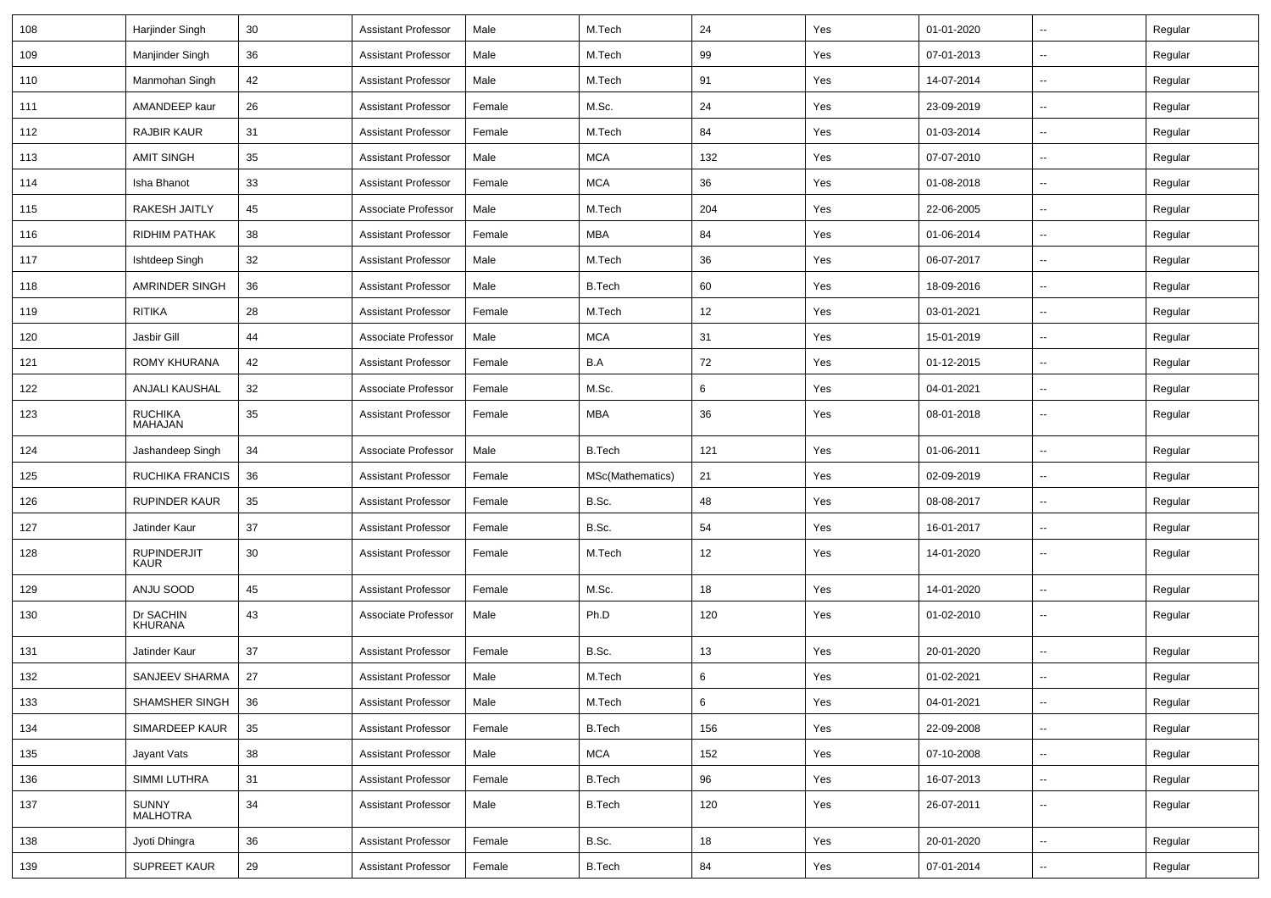| 108 | Harjinder Singh            | 30 | <b>Assistant Professor</b> | Male   | M.Tech           | 24  | Yes | 01-01-2020 | $\overline{\phantom{a}}$ | Regular |
|-----|----------------------------|----|----------------------------|--------|------------------|-----|-----|------------|--------------------------|---------|
| 109 | Manjinder Singh            | 36 | Assistant Professor        | Male   | M.Tech           | 99  | Yes | 07-01-2013 | $\overline{\phantom{a}}$ | Regular |
| 110 | Manmohan Singh             | 42 | Assistant Professor        | Male   | M.Tech           | 91  | Yes | 14-07-2014 | --                       | Regular |
| 111 | AMANDEEP kaur              | 26 | Assistant Professor        | Female | M.Sc.            | 24  | Yes | 23-09-2019 | $\overline{\phantom{a}}$ | Regular |
| 112 | RAJBIR KAUR                | 31 | Assistant Professor        | Female | M.Tech           | 84  | Yes | 01-03-2014 | ۰.                       | Regular |
| 113 | <b>AMIT SINGH</b>          | 35 | Assistant Professor        | Male   | <b>MCA</b>       | 132 | Yes | 07-07-2010 | $\overline{a}$           | Regular |
| 114 | Isha Bhanot                | 33 | <b>Assistant Professor</b> | Female | <b>MCA</b>       | 36  | Yes | 01-08-2018 | $\overline{\phantom{a}}$ | Regular |
| 115 | RAKESH JAITLY              | 45 | Associate Professor        | Male   | M.Tech           | 204 | Yes | 22-06-2005 | $\overline{\phantom{a}}$ | Regular |
| 116 | <b>RIDHIM PATHAK</b>       | 38 | Assistant Professor        | Female | <b>MBA</b>       | 84  | Yes | 01-06-2014 | ۰.                       | Regular |
| 117 | Ishtdeep Singh             | 32 | Assistant Professor        | Male   | M.Tech           | 36  | Yes | 06-07-2017 | ۰.                       | Regular |
| 118 | AMRINDER SINGH             | 36 | <b>Assistant Professor</b> | Male   | <b>B.Tech</b>    | 60  | Yes | 18-09-2016 | $\overline{\phantom{a}}$ | Regular |
| 119 | <b>RITIKA</b>              | 28 | Assistant Professor        | Female | M.Tech           | 12  | Yes | 03-01-2021 | $\overline{a}$           | Regular |
| 120 | Jasbir Gill                | 44 | Associate Professor        | Male   | <b>MCA</b>       | 31  | Yes | 15-01-2019 | $\overline{\phantom{a}}$ | Regular |
| 121 | <b>ROMY KHURANA</b>        | 42 | Assistant Professor        | Female | B.A              | 72  | Yes | 01-12-2015 | $\overline{\phantom{a}}$ | Regular |
| 122 | ANJALI KAUSHAL             | 32 | Associate Professor        | Female | M.Sc.            | 6   | Yes | 04-01-2021 | ۰.                       | Regular |
| 123 | <b>RUCHIKA</b><br>MAHAJAN  | 35 | Assistant Professor        | Female | <b>MBA</b>       | 36  | Yes | 08-01-2018 | ۰.                       | Regular |
| 124 | Jashandeep Singh           | 34 | Associate Professor        | Male   | <b>B.Tech</b>    | 121 | Yes | 01-06-2011 | Ξ.                       | Regular |
| 125 | RUCHIKA FRANCIS            | 36 | Assistant Professor        | Female | MSc(Mathematics) | 21  | Yes | 02-09-2019 | ۰.                       | Regular |
| 126 | <b>RUPINDER KAUR</b>       | 35 | <b>Assistant Professor</b> | Female | B.Sc.            | 48  | Yes | 08-08-2017 | ۰.                       | Regular |
| 127 | Jatinder Kaur              | 37 | <b>Assistant Professor</b> | Female | B.Sc.            | 54  | Yes | 16-01-2017 | $\sim$                   | Regular |
| 128 | <b>RUPINDERJIT</b><br>KAUR | 30 | Assistant Professor        | Female | M.Tech           | 12  | Yes | 14-01-2020 | $\overline{\phantom{a}}$ | Regular |
| 129 | ANJU SOOD                  | 45 | Assistant Professor        | Female | M.Sc.            | 18  | Yes | 14-01-2020 | $\sim$                   | Regular |
| 130 | Dr SACHIN<br>KHURANA       | 43 | Associate Professor        | Male   | Ph.D             | 120 | Yes | 01-02-2010 | --                       | Regular |
| 131 | Jatinder Kaur              | 37 | <b>Assistant Professor</b> | Female | B.Sc.            | 13  | Yes | 20-01-2020 | $\overline{\phantom{a}}$ | Regular |
| 132 | SANJEEV SHARMA             | 27 | <b>Assistant Professor</b> | Male   | M.Tech           | 6   | Yes | 01-02-2021 | --                       | Regular |
| 133 | SHAMSHER SINGH             | 36 | <b>Assistant Professor</b> | Male   | M.Tech           | 6   | Yes | 04-01-2021 | Ξ.                       | Regular |
| 134 | SIMARDEEP KAUR             | 35 | <b>Assistant Professor</b> | Female | <b>B.Tech</b>    | 156 | Yes | 22-09-2008 | u.                       | Regular |
| 135 | Jayant Vats                | 38 | <b>Assistant Professor</b> | Male   | <b>MCA</b>       | 152 | Yes | 07-10-2008 | $\overline{\phantom{a}}$ | Regular |
| 136 | SIMMI LUTHRA               | 31 | <b>Assistant Professor</b> | Female | <b>B.Tech</b>    | 96  | Yes | 16-07-2013 | $\overline{\phantom{a}}$ | Regular |
| 137 | SUNNY<br>MALHOTRA          | 34 | <b>Assistant Professor</b> | Male   | <b>B.Tech</b>    | 120 | Yes | 26-07-2011 | $\overline{\phantom{a}}$ | Regular |
| 138 | Jyoti Dhingra              | 36 | <b>Assistant Professor</b> | Female | B.Sc.            | 18  | Yes | 20-01-2020 | Ξ.                       | Regular |
| 139 | SUPREET KAUR               | 29 | <b>Assistant Professor</b> | Female | <b>B.Tech</b>    | 84  | Yes | 07-01-2014 | --                       | Regular |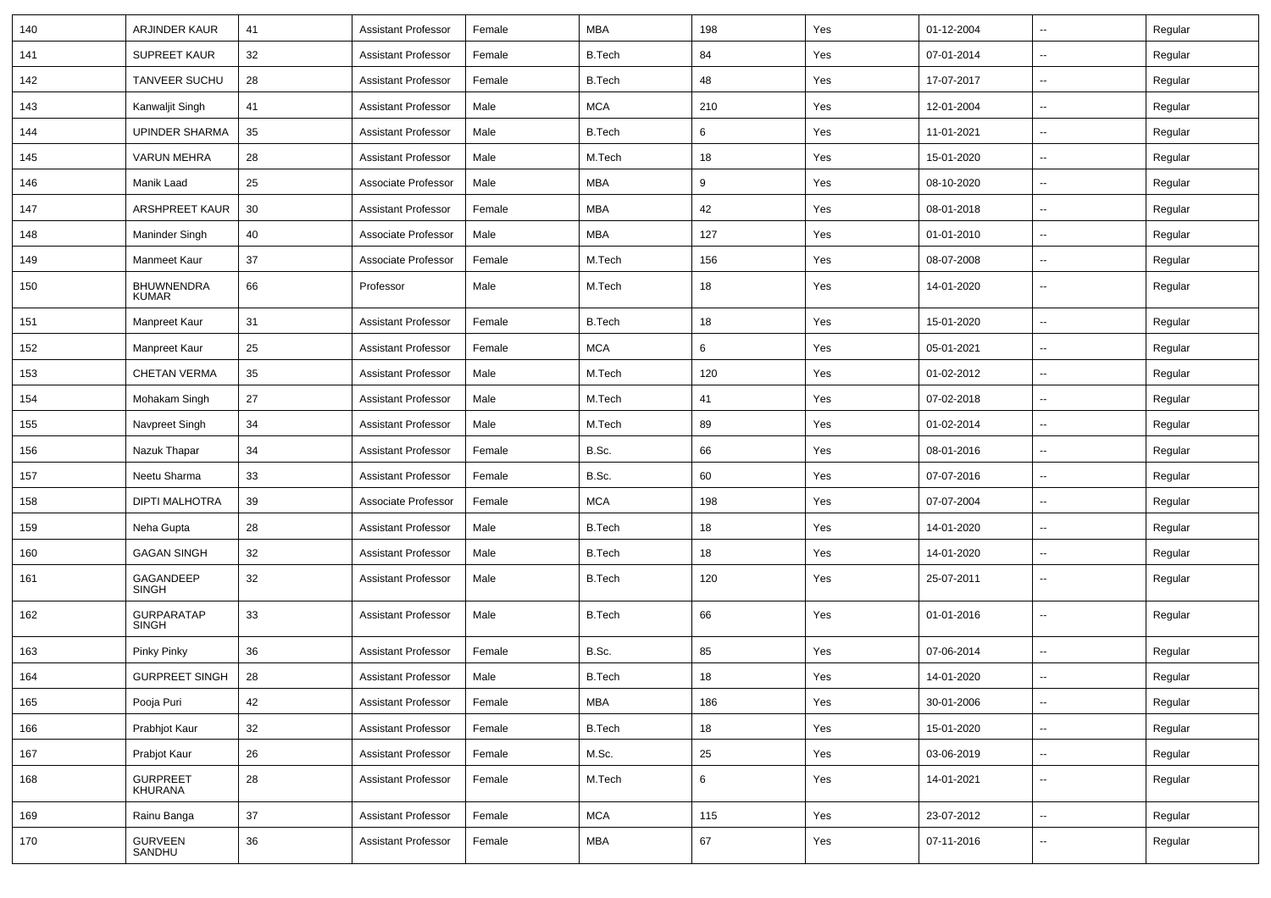| 140 | <b>ARJINDER KAUR</b>              | 41 | <b>Assistant Professor</b> | Female | <b>MBA</b>    | 198 | Yes | 01-12-2004 | $\overline{\phantom{a}}$ | Regular |
|-----|-----------------------------------|----|----------------------------|--------|---------------|-----|-----|------------|--------------------------|---------|
| 141 | <b>SUPREET KAUR</b>               | 32 | <b>Assistant Professor</b> | Female | <b>B.Tech</b> | 84  | Yes | 07-01-2014 | --                       | Regular |
| 142 | <b>TANVEER SUCHU</b>              | 28 | <b>Assistant Professor</b> | Female | <b>B.Tech</b> | 48  | Yes | 17-07-2017 | --                       | Regular |
| 143 | Kanwaljit Singh                   | 41 | <b>Assistant Professor</b> | Male   | <b>MCA</b>    | 210 | Yes | 12-01-2004 | --                       | Regular |
| 144 | <b>UPINDER SHARMA</b>             | 35 | <b>Assistant Professor</b> | Male   | <b>B.Tech</b> | 6   | Yes | 11-01-2021 | --                       | Regular |
| 145 | <b>VARUN MEHRA</b>                | 28 | <b>Assistant Professor</b> | Male   | M.Tech        | 18  | Yes | 15-01-2020 | $\overline{\phantom{a}}$ | Regular |
| 146 | Manik Laad                        | 25 | Associate Professor        | Male   | <b>MBA</b>    | 9   | Yes | 08-10-2020 | $\overline{\phantom{a}}$ | Regular |
| 147 | <b>ARSHPREET KAUR</b>             | 30 | <b>Assistant Professor</b> | Female | <b>MBA</b>    | 42  | Yes | 08-01-2018 | --                       | Regular |
| 148 | Maninder Singh                    | 40 | Associate Professor        | Male   | <b>MBA</b>    | 127 | Yes | 01-01-2010 | $\overline{\phantom{a}}$ | Regular |
| 149 | Manmeet Kaur                      | 37 | Associate Professor        | Female | M.Tech        | 156 | Yes | 08-07-2008 | --                       | Regular |
| 150 | <b>BHUWNENDRA</b><br>KUMAR        | 66 | Professor                  | Male   | M.Tech        | 18  | Yes | 14-01-2020 | --                       | Regular |
| 151 | Manpreet Kaur                     | 31 | <b>Assistant Professor</b> | Female | <b>B.Tech</b> | 18  | Yes | 15-01-2020 | --                       | Regular |
| 152 | Manpreet Kaur                     | 25 | <b>Assistant Professor</b> | Female | <b>MCA</b>    | 6   | Yes | 05-01-2021 | $\overline{\phantom{a}}$ | Regular |
| 153 | <b>CHETAN VERMA</b>               | 35 | <b>Assistant Professor</b> | Male   | M.Tech        | 120 | Yes | 01-02-2012 | --                       | Regular |
| 154 | Mohakam Singh                     | 27 | <b>Assistant Professor</b> | Male   | M.Tech        | 41  | Yes | 07-02-2018 | --                       | Regular |
| 155 | Navpreet Singh                    | 34 | <b>Assistant Professor</b> | Male   | M.Tech        | 89  | Yes | 01-02-2014 | -−                       | Regular |
| 156 | Nazuk Thapar                      | 34 | <b>Assistant Professor</b> | Female | B.Sc.         | 66  | Yes | 08-01-2016 | --                       | Regular |
| 157 | Neetu Sharma                      | 33 | <b>Assistant Professor</b> | Female | B.Sc.         | 60  | Yes | 07-07-2016 | --                       | Regular |
| 158 | <b>DIPTI MALHOTRA</b>             | 39 | Associate Professor        | Female | <b>MCA</b>    | 198 | Yes | 07-07-2004 | $\overline{\phantom{a}}$ | Regular |
| 159 | Neha Gupta                        | 28 | <b>Assistant Professor</b> | Male   | <b>B.Tech</b> | 18  | Yes | 14-01-2020 | --                       | Regular |
| 160 | <b>GAGAN SINGH</b>                | 32 | <b>Assistant Professor</b> | Male   | <b>B.Tech</b> | 18  | Yes | 14-01-2020 | --                       | Regular |
| 161 | GAGANDEEP<br><b>SINGH</b>         | 32 | <b>Assistant Professor</b> | Male   | <b>B.Tech</b> | 120 | Yes | 25-07-2011 | $\overline{\phantom{a}}$ | Regular |
| 162 | <b>GURPARATAP</b><br><b>SINGH</b> | 33 | <b>Assistant Professor</b> | Male   | <b>B.Tech</b> | 66  | Yes | 01-01-2016 | $\overline{\phantom{a}}$ | Regular |
| 163 | Pinky Pinky                       | 36 | <b>Assistant Professor</b> | Female | B.Sc.         | 85  | Yes | 07-06-2014 | $\overline{a}$           | Regular |
| 164 | <b>GURPREET SINGH</b>             | 28 | <b>Assistant Professor</b> | Male   | <b>B.Tech</b> | 18  | Yes | 14-01-2020 |                          | Regular |
| 165 | Pooja Puri                        | 42 | <b>Assistant Professor</b> | Female | <b>MBA</b>    | 186 | Yes | 30-01-2006 | Щ,                       | Regular |
| 166 | Prabhjot Kaur                     | 32 | <b>Assistant Professor</b> | Female | <b>B.Tech</b> | 18  | Yes | 15-01-2020 | $\overline{\phantom{a}}$ | Regular |
| 167 | Prabjot Kaur                      | 26 | <b>Assistant Professor</b> | Female | M.Sc.         | 25  | Yes | 03-06-2019 | $\sim$                   | Regular |
| 168 | GURPREET<br>KHURANA               | 28 | <b>Assistant Professor</b> | Female | M.Tech        | 6   | Yes | 14-01-2021 | $\sim$                   | Regular |
| 169 | Rainu Banga                       | 37 | <b>Assistant Professor</b> | Female | <b>MCA</b>    | 115 | Yes | 23-07-2012 | $\overline{\phantom{a}}$ | Regular |
| 170 | GURVEEN<br>SANDHU                 | 36 | <b>Assistant Professor</b> | Female | <b>MBA</b>    | 67  | Yes | 07-11-2016 | н.                       | Regular |